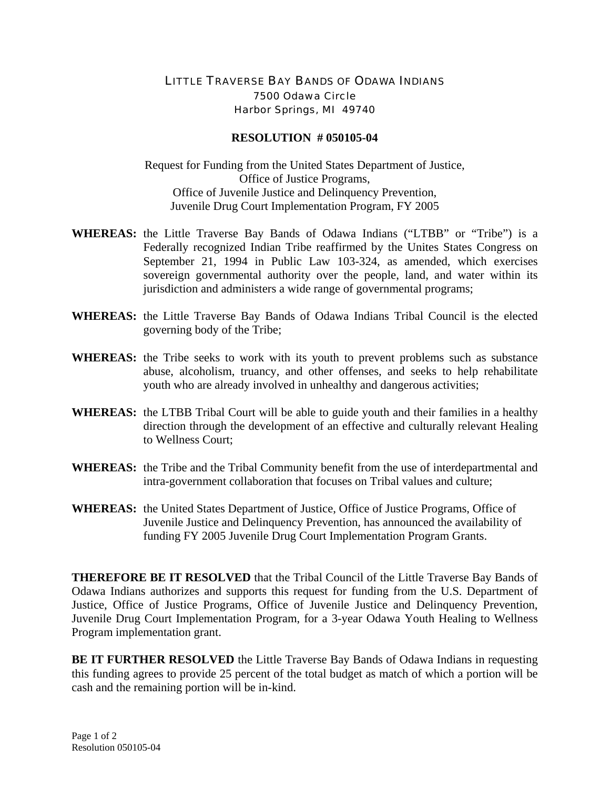## LITTLE TRAVERSE BAY BANDS OF ODAWA INDIANS 7500 Odawa Circle Harbor Springs, MI 49740

## **RESOLUTION # 050105-04**

Request for Funding from the United States Department of Justice, Office of Justice Programs, Office of Juvenile Justice and Delinquency Prevention, Juvenile Drug Court Implementation Program, FY 2005

- **WHEREAS:** the Little Traverse Bay Bands of Odawa Indians ("LTBB" or "Tribe") is a Federally recognized Indian Tribe reaffirmed by the Unites States Congress on September 21, 1994 in Public Law 103-324, as amended, which exercises sovereign governmental authority over the people, land, and water within its jurisdiction and administers a wide range of governmental programs;
- **WHEREAS:** the Little Traverse Bay Bands of Odawa Indians Tribal Council is the elected governing body of the Tribe;
- **WHEREAS:** the Tribe seeks to work with its youth to prevent problems such as substance abuse, alcoholism, truancy, and other offenses, and seeks to help rehabilitate youth who are already involved in unhealthy and dangerous activities;
- **WHEREAS:** the LTBB Tribal Court will be able to guide youth and their families in a healthy direction through the development of an effective and culturally relevant Healing to Wellness Court;
- **WHEREAS:** the Tribe and the Tribal Community benefit from the use of interdepartmental and intra-government collaboration that focuses on Tribal values and culture;
- **WHEREAS:** the United States Department of Justice, Office of Justice Programs, Office of Juvenile Justice and Delinquency Prevention, has announced the availability of funding FY 2005 Juvenile Drug Court Implementation Program Grants.

**THEREFORE BE IT RESOLVED** that the Tribal Council of the Little Traverse Bay Bands of Odawa Indians authorizes and supports this request for funding from the U.S. Department of Justice, Office of Justice Programs, Office of Juvenile Justice and Delinquency Prevention, Juvenile Drug Court Implementation Program, for a 3-year Odawa Youth Healing to Wellness Program implementation grant.

**BE IT FURTHER RESOLVED** the Little Traverse Bay Bands of Odawa Indians in requesting this funding agrees to provide 25 percent of the total budget as match of which a portion will be cash and the remaining portion will be in-kind.